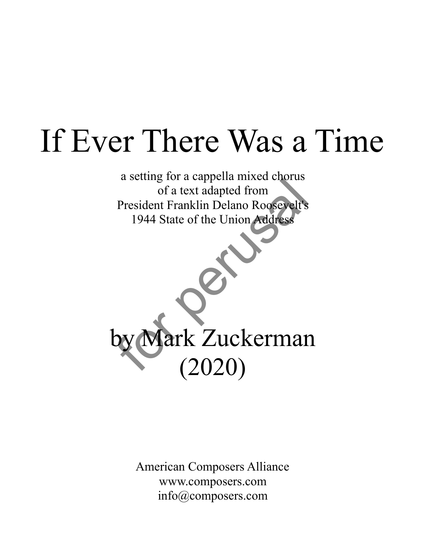## If Ever There Was a Time

a setting for a cappella mixed chorus of a text adapted from President Franklin Delano Roosevelt's 1944 State of the Union Address

by Mark Zuckerman (2020) de a text dapted from<br>
Tresident Franklin Delano Roosevelt's<br>
1944 State of the Union Address<br>
1944 State of the Union Address<br>
1944 State of the Union Address<br>
1944 State of the Union Address

> American Composers Alliance www.composers.com info@composers.com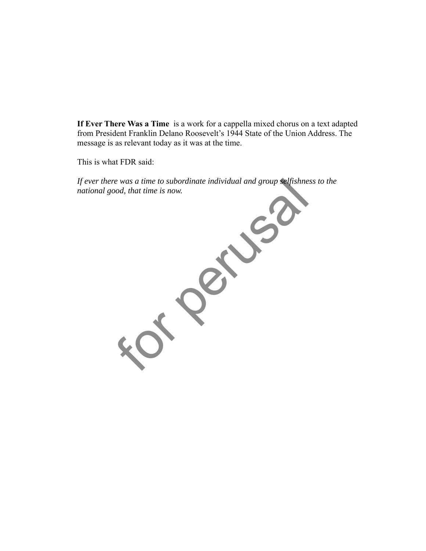**If Ever There Was a Time** is a work for a cappella mixed chorus on a text adapted from President Franklin Delano Roosevelt's 1944 State of the Union Address. The message is as relevant today as it was at the time.

This is what FDR said:

*If ever there was a time to subordinate individual and group selfishness to the national good, that time is now.*

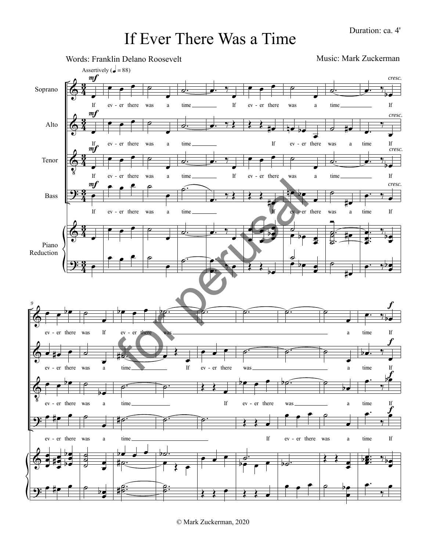## If Ever There Was a Time



© Mark Zuckerman, 2020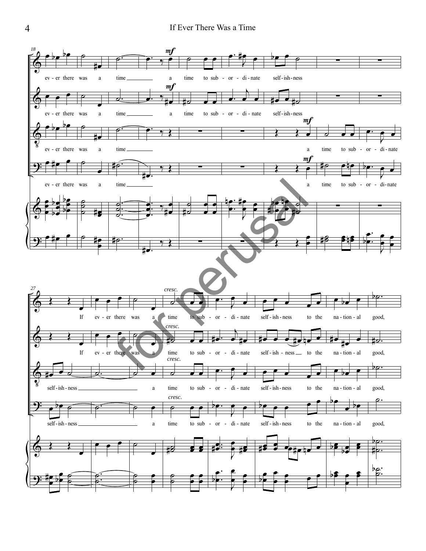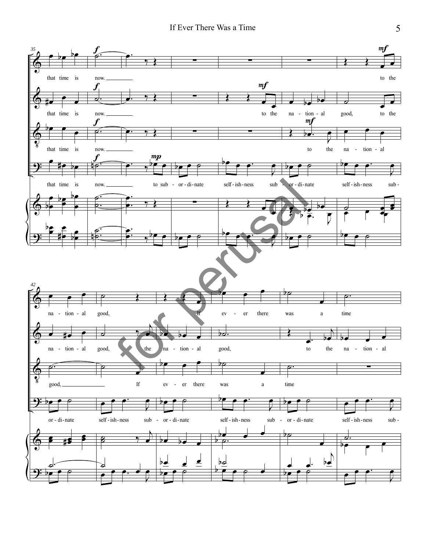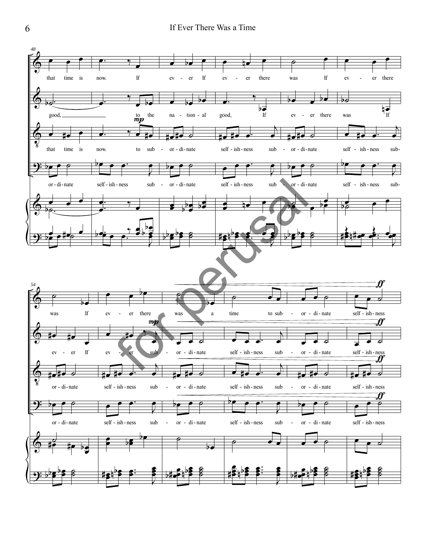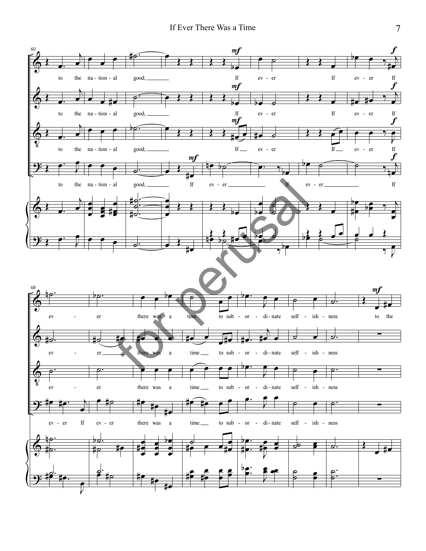